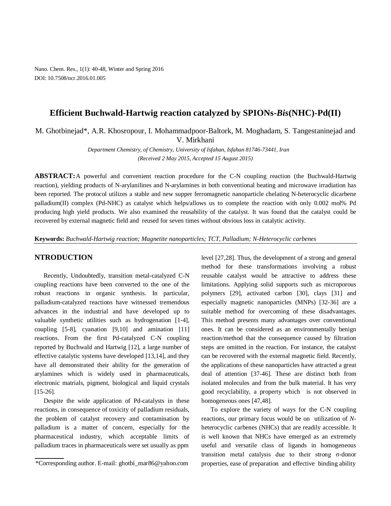Nano. Chem. Res., 1(1): 40-48, Winter and Spring 2016 DOI: 10.7508/ncr.2016.01.005

## **Efficient Buchwald-Hartwig reaction catalyzed by SPIONs-***Bis***(NHC)-Pd(II)**

M. Ghotbinejad\*, A.R. Khosropour, I. Mohammadpoor-Baltork, M. Moghadam, S. Tangestaninejad and V. Mirkhani

> *Department Chemistry, of Chemistry, University of Isfahan, Isfahan 81746-73441, Iran (Received 2 May 2015, Accepted 15 August 2015)*

**ABSTRACT:**A powerful and convenient reaction procedure for the C-N coupling reaction (the Buchwald-Hartwig reaction), yielding products of N-arylanilines and N-arylamines in both conventional heating and microwave irradiation has been reported. The protocol utilizes a stable and new supper ferromagnetic nanoparticle chelating N-heterocyclic dicarbene palladium(II) complex (Pd-NHC) as catalyst which helps/allows us to complete the reaction with only 0.002 mol% Pd producing high yield products. We also examined the reusability of the catalyst. It was found that the catalyst could be recovered by external magnetic field and reused for seven times without obvious loss in catalytic activity.

**Keywords:** *Buchwald-Hartwig reaction; Magnetite nanoparticles; TCT, Palladium; N-Heterocyclic carbenes*

### **NTRODUCTION**

Recently, Undoubtedly, transition metal-catalyzed C-N coupling reactions have been converted to the one of the robust reactions in organic synthesis. In particular, palladium-catalyzed reactions have witnessed tremendous advances in the industrial and have developed up to valuable synthetic utilities such as hydrogenation [1-4], coupling [5-8], cyanation [9,10] and amination [11] reactions. From the first Pd-catalyzed C-N coupling reported by Buchwald and Hartwig [12], a large number of effective catalytic systems have developed [13,14], and they have all demonstrated their ability for the generation of arylamines which is widely used in pharmaceuticals, electronic matrials, pigment, biological and liquid crystals [15-26].

Despite the wide application of Pd-catalysts in these reactions, in consequence of toxicity of palladium residuals, the problem of catalyst recovery and contamination by palladium is a matter of concern, especially for the pharmaceutical industry, which acceptable limits of palladium traces in pharmaceuticals were set usually as ppm

level [27,28]. Thus, the development of a strong and general method for these transformations involving a robust reusable catalyst would be attractive to address these limitations. Applying solid supports such as microporous polymers [29], activated carbon [30], clays [31] and especially magnetic nanoparticles (MNPs) [32-36] are a suitable method for overcoming of these disadvantages. This method presents many advantages over conventional ones. It can be considered as an environmentally benign reaction/method that the consequence caused by filtration steps are omitted in the reaction. For instance, the catalyst can be recovered with the external magnetic field. Recently, the applications of these nanoparticles have attracted a great deal of attention [37-46]. These are distinct both from isolated molecules and from the bulk material. It has very good recyclability, a property which is not observed in homogeneous ones [47,48].

To explore the variety of ways for the C-N coupling reactions, our primary focus would be on utilization of *N*heterocyclic carbenes (NHCs) that are readily accessible. It is well known that NHCs have emerged as an extremely useful and versatile class of ligands in homogeneous transition metal catalysis due to their strong σ-donor properties, ease of preparation and effective binding ability

<sup>\*</sup>Corresponding author. E-mail: ghotbi\_mar86@yahoo.com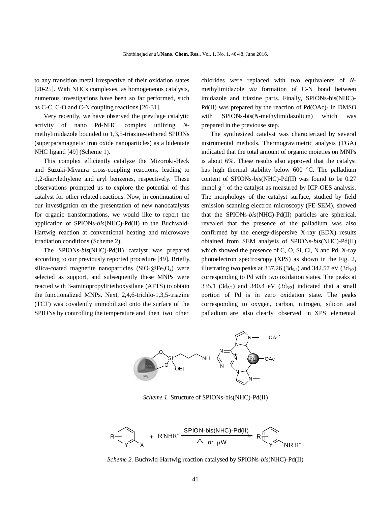to any transition metal irrespective of their oxidation states [20-25]. With NHCs complexes, as homogeneous catalysts, numerous investigations have been so far performed, such as C-C, C-O and C-N coupling reactions [26-31].

Very recently, we have observed the previlage catalytic activity of nano Pd-NHC complex utilizing *N*methylimidazole bounded to 1,3,5-triazine-tethered SPIONs (superparamagnetic iron oxide nanoparticles) as a bidentate NHC ligand [49] (Scheme 1).

This complex efficiently catalyze the Mizoroki-Heck and Suzuki-Miyaura cross-coupling reactions, leading to 1,2-diarylethylene and aryl benzenes, respectively. These observations prompted us to explore the potential of this catalyst for other related reactions. Now, in continuation of our investigation on the presentation of new nanocatalysts for organic transformations, we would like to report the application of SPIONs-*bis*(NHC)-Pd(II) to the Buchwald-Hartwig reaction at conventional heating and microwave irradiation conditions (Scheme 2).

The SPIONs-*bis*(NHC)-Pd(II) catalyst was prepared according to our previously reported procedure [49]. Briefly, silica-coated magnetite nanoparticles  $(SiO_2@Fe_3O_4)$  were selected as support, and subsequently these MNPs were reacted with 3-aminopropyltriethoxysilane (APTS) to obtain the functionalized MNPs. Next, 2,4,6-trichlo-1,3,5-triazine (TCT) was covalently immobilized onto the surface of the SPIONs by controlling the temperature and then two other

chlorides were replaced with two equivalents of *N*methylimidazole *via* formation of C-N bond between imidazole and triazine parts. Finally, SPIONs-bis(NHC)- Pd(II) was prepared by the reaction of  $Pd(OAc)$  in DMSO with SPIONs-bis(*N*-methylimidazolium) which was prepared in the previouse step.

The synthesized catalyst was characterized by several instrumental methods. Thermogravimetric analysis (TGA) indicated that the total amount of organic moieties on MNPs is about 6%. These results also approved that the catalyst has high thermal stability below 600 °C. The palladium content of SPIONs-*bis*(NHC)-Pd(II) was found to be 0.27 mmol  $g^{-1}$  of the catalyst as measured by ICP-OES analysis. The morphology of the catalyst surface, studied by field emission scanning electron microscopy (FE-SEM), showed that the SPIONs-*bis*(NHC)-Pd(II) particles are spherical. revealed that the presence of the palladium was also confirmed by the energy-dispersive X-ray (EDX) results obtained from SEM analysis of SPIONs-*bis*(NHC)-Pd(II) which showed the presence of C, O, Si, Cl, N and Pd. X-ray photoelectron spectroscopy (XPS) as shown in the Fig. 2, illustrating two peaks at 337.26 (3d<sub>5/2</sub>) and 342.57 eV (3d<sub>3/2</sub>), corresponding to Pd with two oxidation states. The peaks at 335.1 (3 $d_{5/2}$ ) and 340.4 eV (3 $d_{3/2}$ ) indicated that a small portion of Pd is in zero oxidation state. The peaks corresponding to oxygen, carbon, nitrogen, silicon and palladium are also clearly observed in XPS elemental



*Scheme 1.* Structure of SPIONs-bis(NHC)-Pd(II)



*Scheme 2.* Buchwld-Hartwig reaction catalysed by SPIONs-*bis*(NHC)-Pd(II)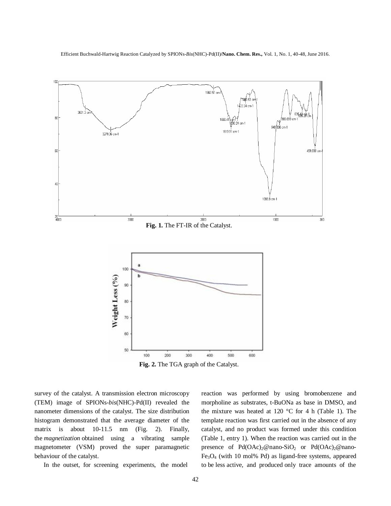Efficient Buchwald-Hartwig Reaction Catalyzed by SPIONs-*Bis*(NHC)-Pd(II)**/Nano. Chem. Res.,** Vol. 1, No. 1, 40-48, June 2016.



**Fig. 2.** The TGA graph of the Catalyst.

survey of the catalyst. A transmission electron microscopy (TEM) image of SPIONs-*bis*(NHC)-Pd(II) revealed the nanometer dimensions of the catalyst. The size distribution histogram demonstrated that the average diameter of the matrix is about 10-11.5 nm (Fig. 2). Finally, the *magnetization* obtained using a vibrating sample magnetometer (VSM) proved the super paramagnetic behaviour of the catalyst.

In the outset, for screening experiments, the model

reaction was performed by using bromobenzene and morpholine as substrates, t-BuONa as base in DMSO, and the mixture was heated at 120  $^{\circ}$ C for 4 h (Table 1). The template reaction was first carried out in the absence of any catalyst, and no product was formed under this condition (Table 1, entry 1). When the reaction was carried out in the presence of  $Pd(OAc)_2@$ nano-SiO<sub>2</sub> or  $Pd(OAc)_2@$ nano-Fe3O4 (with 10 mol% Pd) as ligand-free systems, appeared to be less active, and produced only trace amounts of the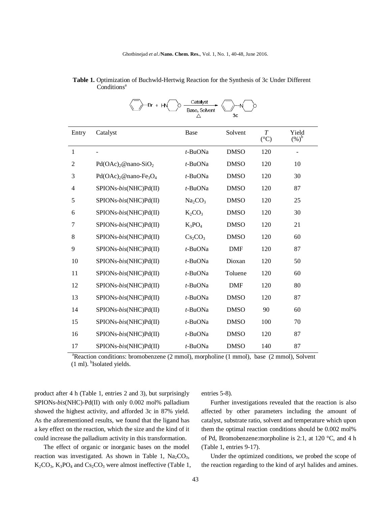|                | -Br + HŃ              | Catalyst<br>Base, Solvent       | Зc          |                                     |                        |
|----------------|-----------------------|---------------------------------|-------------|-------------------------------------|------------------------|
| Entry          | Catalyst              | Base                            | Solvent     | $\boldsymbol{T}$<br>$({}^{\circ}C)$ | Yield<br>$(%)^{\rm b}$ |
| 1              |                       | t-BuONa                         | <b>DMSO</b> | 120                                 |                        |
| $\overline{2}$ | $Pd(OAc)2@nano-SiO2$  | t-BuONa                         | <b>DMSO</b> | 120                                 | 10                     |
| 3              | $Pd(OAc)2@nano-Fe3O4$ | t-BuONa                         | <b>DMSO</b> | 120                                 | 30                     |
| $\overline{4}$ | SPIONs-bis(NHC)Pd(II) | t-BuONa                         | <b>DMSO</b> | 120                                 | 87                     |
| 5              | SPIONs-bis(NHC)Pd(II) | Na <sub>2</sub> CO <sub>3</sub> | <b>DMSO</b> | 120                                 | 25                     |
| 6              | SPIONs-bis(NHC)Pd(II) | $K_2CO_3$                       | <b>DMSO</b> | 120                                 | 30                     |
| 7              | SPIONs-bis(NHC)Pd(II) | $K_3PO_4$                       | <b>DMSO</b> | 120                                 | 21                     |
| 8              | SPIONs-bis(NHC)Pd(II) | $Cs_2CO_3$                      | <b>DMSO</b> | 120                                 | 60                     |
| 9              | SPIONs-bis(NHC)Pd(II) | t-BuONa                         | <b>DMF</b>  | 120                                 | 87                     |
| 10             | SPIONs-bis(NHC)Pd(II) | t-BuONa                         | Dioxan      | 120                                 | 50                     |
| 11             | SPIONs-bis(NHC)Pd(II) | t-BuONa                         | Toluene     | 120                                 | 60                     |
| 12             | SPIONs-bis(NHC)Pd(II) | t-BuONa                         | <b>DMF</b>  | 120                                 | 80                     |
| 13             | SPIONs-bis(NHC)Pd(II) | t-BuONa                         | <b>DMSO</b> | 120                                 | 87                     |
| 14             | SPIONs-bis(NHC)Pd(II) | t-BuONa                         | <b>DMSO</b> | 90                                  | 60                     |
| 15             | SPIONs-bis(NHC)Pd(II) | t-BuONa                         | <b>DMSO</b> | 100                                 | 70                     |
| 16             | SPIONs-bis(NHC)Pd(II) | t-BuONa                         | <b>DMSO</b> | 120                                 | 87                     |
| 17             | SPIONs-bis(NHC)Pd(II) | t-BuONa                         | <b>DMSO</b> | 140                                 | 87                     |

 **Table 1.** Optimization of Buchwld-Hertwig Reaction for the Synthesis of 3c Under Different Conditions<sup>a</sup>

<sup>a</sup>Reaction conditions: bromobenzene (2 mmol), morpholine (1 mmol), base (2 mmol), Solvent  $(1 \text{ ml})$ .  $^{b}$ Isolated yields.

product after 4 h (Table 1, entries 2 and 3), but surprisingly SPIONs-*bis*(NHC)-Pd(II) with only 0.002 mol% palladium showed the highest activity, and afforded 3c in 87% yield. As the aforementioned results, we found that the ligand has a key effect on the reaction, which the size and the kind of it could increase the palladium activity in this transformation.

The effect of organic or inorganic bases on the model reaction was investigated. As shown in Table 1,  $Na<sub>2</sub>CO<sub>3</sub>$ ,  $K_2CO_3$ ,  $K_3PO_4$  and  $Cs_2CO_3$  were almost ineffective (Table 1, entries 5-8).

Further investigations revealed that the reaction is also affected by other parameters including the amount of catalyst, substrate ratio, solvent and temperature which upon them the optimal reaction conditions should be 0.002 mol% of Pd, Bromobenzene:morpholine is 2:1, at 120 °C, and 4 h (Table 1, entries 9-17).

Under the optimized conditions, we probed the scope of the reaction regarding to the kind of aryl halides and amines.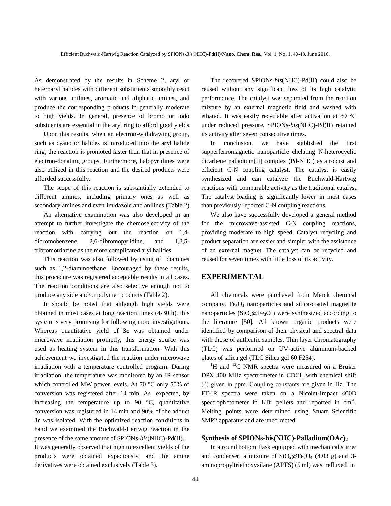As demonstrated by the results in Scheme 2, aryl or heteroaryl halides with different substituents smoothly react with various anilines, aromatic and aliphatic amines, and produce the corresponding products in generally moderate to high yields. In general, presence of bromo or iodo substuents are essential in the aryl ring to afford good yields.

Upon this results, when an electron-withdrawing group, such as cyano or halides is introduced into the aryl halide ring, the reaction is promoted faster than that in presence of electron-donating groups. Furthermore, halopyridines were also utilized in this reaction and the desired products were afforded successfully.

The scope of this reaction is substantially extended to different amines, including primary ones as well as secondary amines and even imidazole and anilines (Table 2).

An alternative examination was also developed in an attempt to further investigate the chemoselectivity of the reaction with carrying out the reaction on 1,4 dibromobenzene, 2,6-dibromopyridine, and 1,3,5 tribromotriazine as the more complicated aryl halides.

This reaction was also followed by using of diamines such as 1,2-diaminoethane. Encouraged by these results, this procedure was registered acceptable results in all cases. The reaction conditions are also selective enough not to produce any side and/or polymer products (Table 2).

It should be noted that although high yields were obtained in most cases at long reaction times (4-30 h), this system is very promising for following more investigations. Whereas quantitative yield of **3c** was obtained under microwave irradiation promptly, this energy source was used as heating system in this transformation. With this achievement we investigated the reaction under microwave irradiation with a temperature controlled program. During irradiation, the temperature was monitored by an IR sensor which controlled MW power levels. At 70 °C only 50% of conversion was registered after 14 min. As expected, by increasing the temperature up to 90  $\degree$ C, quantitative conversion was registered in 14 min and 90% of the adduct **3c** was isolated. With the optimized reaction conditions in hand we examined the Buchwald-Hartwig reaction in the presence of the same amount of SPIONs-*bis*(NHC)-Pd(II).

It was generally observed that high to excellent yields of the products were obtained expediously, and the amine derivatives were obtained exclusively (Table 3).

The recovered SPIONs-*bis*(NHC)-Pd(II) could also be reused without any significant loss of its high catalytic performance. The catalyst was separated from the reaction mixture by an external magnetic field and washed with ethanol. It was easily recyclable after activation at 80 °C under reduced pressure. SPIONs-*bis*(NHC)-Pd(II) retained its activity after seven consecutive times.

In conclusion, we have stablished the first supperferromagnetic nanoparticle chelating N-heterocyclic dicarbene palladium(II) complex (Pd-NHC) as a robust and efficient C-N coupling catalyst. The catalyst is easily synthesized and can catalyze the Buchwald-Hartwig reactions with comparable activity as the traditional catalyst. The catalyst loading is significantly lower in most cases than previously reported C-N coupling reactions.

We also have successfully developed a general method for the microwave-assisted C-N coupling reactions, providing moderate to high speed. Catalyst recycling and product separation are easier and simpler with the assistance of an external magnet. The catalyst can be recycled and reused for seven times with little loss of its activity.

#### **EXPERIMENTAL**

All chemicals were purchased from Merck chemical company.  $Fe<sub>3</sub>O<sub>4</sub>$  nanoparticles and silica-coated magnetite nanoparticles ( $SiO<sub>2</sub>@Fe<sub>3</sub>O<sub>4</sub>$ ) were synthesized according to the literature [50]. All known organic products were identified by comparison of their physical and spectral data with those of authentic samples. Thin layer chromatography (TLC) was performed on UV-active aluminum-backed plates of silica gel (TLC Silica gel 60 F254).

 ${}^{1}$ H and  ${}^{13}$ C NMR spectra were measured on a Bruker DPX 400 MHz spectrometer in CDCl<sub>3</sub> with chemical shift (δ) given in ppm. Coupling constants are given in Hz. The FT-IR spectra were taken on a Nicolet-Impact 400D spectrophotometer in KBr pellets and reported in  $cm^{-1}$ . Melting points were determined using Stuart Scientific SMP2 apparatus and are uncorrected.

#### **Synthesis of SPIONs-bis(NHC)-Palladium(OAc)<sup>2</sup>**

In a round bottom flask equipped with mechanical stirrer and condenser, a mixture of  $SiO<sub>2</sub>@Fe<sub>3</sub>O<sub>4</sub>$  (4.03 g) and 3aminopropyltriethoxysilane (APTS) (5 ml) was refluxed in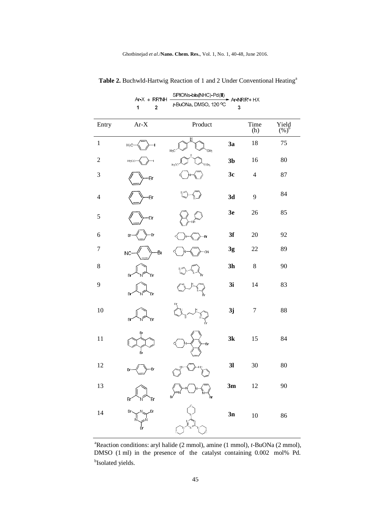| Entry            | $Ar-X$          | Product                          |                | $Time$<br>(h)  | Yield $(\%)^b$ |
|------------------|-----------------|----------------------------------|----------------|----------------|----------------|
| $\mathbf 1$      | $H_3C$          | Ħ<br>Н£<br>CН <sub>3</sub>       | 3a             | 18             | 75             |
| $\overline{c}$   | H3CO            | .<br>ОСН <sub>З</sub><br>$H_3CO$ | 3 <sub>b</sub> | 16             | 80             |
| 3                | Br              |                                  | 3c             | $\overline{4}$ | 87             |
| $\overline{4}$   | Br              |                                  | 3d             | 9              | 84             |
| 5                | Br              |                                  | 3e             | 26             | 85             |
| $\sqrt{6}$       | Ð<br>Br         | Br                               | 3f             | 20             | 92             |
| $\boldsymbol{7}$ | B.<br><b>NC</b> | <b>CN</b>                        | 3g             | 22             | 89             |
| $\,8\,$          | Br<br>Br        |                                  | 3 <sub>h</sub> | 8              | 90             |
| 9                | Br<br>`Br       |                                  | 3i             | 14             | 83             |
| $10\,$           | Br<br>Br        |                                  | 3j             | $\overline{7}$ | 88             |
| 11               | ₿r<br>₿r        | Br                               | 3k             | 15             | 84             |
| 12               | Br<br>Br        |                                  | 3 <sub>l</sub> | 30             | 80             |
| 13               | Br<br>Br        | P.                               | 3m             | 12             | 90             |
| 14               | Br<br>Br<br>в'n |                                  | 3n             | 10             | 86             |

Table 2. Buchwld-Hartwig Reaction of 1 and 2 Under Conventional Heating<sup>a</sup>

Ar-X + RR'NH  $\frac{\text{SPIONS-bis(NHC)-Pd(II)}{t-\text{BuONA, DMSO, 120 °C}}$  Ar-NRR'+ HX

<sup>&</sup>lt;sup>a</sup>Reaction conditions: aryl halide (2 mmol), amine (1 mmol), *t*-BuONa (2 mmol), DMSO (1 ml) in the presence of the catalyst containing 0.002 mol% Pd. <sup>b</sup>Isolated yields.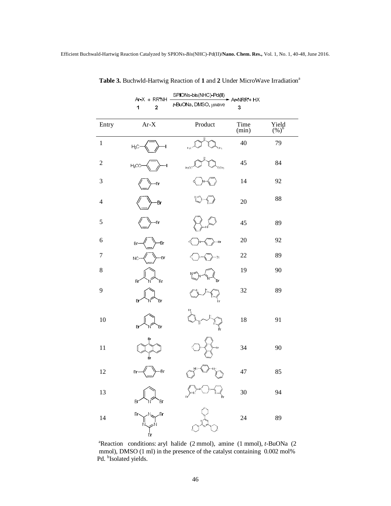|                | $Ar-X + RR'NH$                                                                                                                                                                                                                                                                                                                                                                                                                                                                                          | SPIONs-bis(NHC)-Pd(II)<br>A - NRR' + HX |               |                |  |  |
|----------------|---------------------------------------------------------------------------------------------------------------------------------------------------------------------------------------------------------------------------------------------------------------------------------------------------------------------------------------------------------------------------------------------------------------------------------------------------------------------------------------------------------|-----------------------------------------|---------------|----------------|--|--|
|                | 1<br>$\overline{\mathbf{c}}$                                                                                                                                                                                                                                                                                                                                                                                                                                                                            | t-BuONa, DMSO, µwave                    | 3             |                |  |  |
| Entry          | $Ar-X$                                                                                                                                                                                                                                                                                                                                                                                                                                                                                                  | Product                                 | Time<br>(min) | Yield $(\%)^b$ |  |  |
| $\,1$          | $H_3C$                                                                                                                                                                                                                                                                                                                                                                                                                                                                                                  | ĴН <sub>3</sub>                         | 40            | 79             |  |  |
| $\mathfrak 2$  | $H_3CO$                                                                                                                                                                                                                                                                                                                                                                                                                                                                                                 | $H_2O$<br>XН <sub>3</sub>               | 45            | 84             |  |  |
| 3              | Br                                                                                                                                                                                                                                                                                                                                                                                                                                                                                                      |                                         | 14            | 92             |  |  |
| $\overline{4}$ | Br                                                                                                                                                                                                                                                                                                                                                                                                                                                                                                      |                                         | 20            | 88             |  |  |
| 5              | -Br                                                                                                                                                                                                                                                                                                                                                                                                                                                                                                     |                                         | 45            | 89             |  |  |
| 6              | ٠Br<br>Br                                                                                                                                                                                                                                                                                                                                                                                                                                                                                               | Br                                      | 20            | 92             |  |  |
| 7              | Br<br>NC                                                                                                                                                                                                                                                                                                                                                                                                                                                                                                | άN                                      | 22            | 89             |  |  |
| 8              | Br<br>Br                                                                                                                                                                                                                                                                                                                                                                                                                                                                                                |                                         | 19            | 90             |  |  |
| 9              | Br<br>B                                                                                                                                                                                                                                                                                                                                                                                                                                                                                                 |                                         | 32            | 89             |  |  |
| 10             | Br<br>Br                                                                                                                                                                                                                                                                                                                                                                                                                                                                                                |                                         | 18            | 91             |  |  |
| 11             | Ėv                                                                                                                                                                                                                                                                                                                                                                                                                                                                                                      | Br                                      | 34            | 90             |  |  |
| 12             | -Br<br>Br                                                                                                                                                                                                                                                                                                                                                                                                                                                                                               | ΗN                                      | 47            | 85             |  |  |
| 13             | Br<br>Br                                                                                                                                                                                                                                                                                                                                                                                                                                                                                                |                                         | $30\,$        | 94             |  |  |
| 14             | $Br \setminus$<br>$\text{Tr} \left( \text{Tr} \left( \text{Tr} \left( \text{Tr} \left( \text{Tr} \left( \text{Tr} \left( \text{Tr} \left( \text{Tr} \left( \text{Tr} \left( \text{Tr} \left( \text{Tr} \left( \text{Tr} \left( \text{Tr} \left( \text{Tr} \left( \text{Tr} \left( \text{Tr} \left( \text{Tr} \left( \text{Tr} \left( \text{Tr} \left( \text{Tr} \left( \text{Tr} \left( \text{Tr} \left( \text{Tr} \left( \text{Tr} \left( \text{Tr} \left( \text{Tr} \left( \text{Tr} \left( \text{Tr$ |                                         | 24            | 89             |  |  |

Table 3. Buchwld-Hartwig Reaction of 1 and 2 Under MicroWave Irradiation<sup>a</sup>

<sup>&</sup>lt;sup>a</sup>Reaction conditions: aryl halide (2 mmol), amine (1 mmol), *t*-BuONa (2 mmol), DMSO (1 ml) in the presence of the catalyst containing 0.002 mol% Pd. <sup>b</sup>Isolated yields.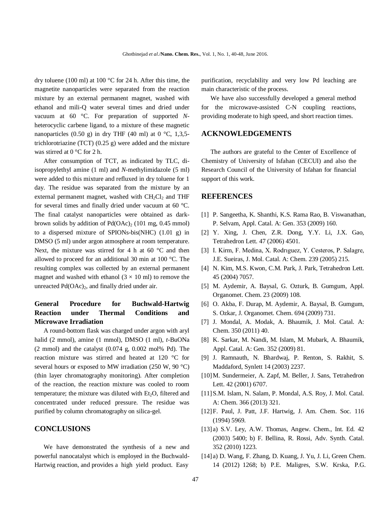dry toluene (100 ml) at 100 °C for 24 h. After this time, the magnetite nanoparticles were separated from the reaction mixture by an external permanent magnet, washed with ethanol and mili-Q water several times and dried under vacuum at 60 °C. For preparation of supported *N*heterocyclic carbene ligand, to a mixture of these magnetic nanoparticles (0.50 g) in dry THF (40 ml) at 0  $\degree$ C, 1,3,5trichlorotriazine (TCT) (0.25 g) were added and the mixture was stirred at 0 °C for 2 h.

After consumption of TCT, as indicated by TLC, diisopropylethyl amine (1 ml) and *N*-methylimidazole (5 ml) were added to this mixture and refluxed in dry toluene for 1 day. The residue was separated from the mixture by an external permanent magnet, washed with  $CH_2Cl_2$  and THF for several times and finally dried under vacuum at 60 °C. The final catalyst nanoparticles were obtained as darkbrown solids by addition of  $Pd(OAc)<sub>2</sub>$  (101 mg, 0.45 mmol) to a dispersed mixture of SPIONs-bis(NHC) (1.01 g) in DMSO (5 ml) under argon atmosphere at room temperature. Next, the mixture was stirred for 4 h at 60 °C and then allowed to proceed for an additional 30 min at 100 °C. The resulting complex was collected by an external permanent magnet and washed with ethanol  $(3 \times 10 \text{ ml})$  to remove the unreacted  $Pd(OAc)_2$ , and finally dried under air.

# **General Procedure for Buchwald-Hartwig Reaction under Thermal Conditions and Microwave Irradiation**

A round-bottom flask was charged under argon with aryl halid (2 mmol), amine (1 mmol), DMSO (1 ml), *t*-BuONa  $(2 \text{ mmol})$  and the catalyst  $(0.074 \text{ g}, 0.002 \text{ mol\%} \text{ Pd})$ . The reaction mixture was stirred and heated at 120 °C for several hours or exposed to MW irradiation (250 W, 90 °C) (thin layer chromatography monitoring). After completion of the reaction, the reaction mixture was cooled to room temperature; the mixture was diluted with Et<sub>2</sub>O, filtered and concentrated under reduced pressure. The residue was purified by column chromatography on silica-gel.

### **CONCLUSIONS**

We have demonstrated the synthesis of a new and powerful nanocatalyst which is employed in the Buchwald-Hartwig reaction, and provides a high yield product. Easy

purification, recyclability and very low Pd leaching are main characteristic of the process.

We have also successfully developed a general method for the microwave-assisted C-N coupling reactions, providing moderate to high speed, and short reaction times.

### **ACKNOWLEDGEMENTS**

The authors are grateful to the Center of Excellence of Chemistry of University of Isfahan (CECUI) and also the Research Council of the University of Isfahan for financial support of this work.

### **REFERENCES**

- [1] P. Sangeetha, K. Shanthi, K.S. Rama Rao, B. Viswanathan, P. Selvam, Appl. Catal. A: Gen. 353 (2009) 160.
- [2] Y. Xing, J. Chen, Z.R. Dong, Y.Y. Li, J.X. Gao, Tetrahedron Lett. 47 (2006) 4501.
- [3] I. Kirm, F. Medina, X. Rodrıguez, Y. Cesteros, P. Salagre, J.E. Sueiras, J. Mol. Catal. A: Chem. 239 (2005) 215.
- [4] N. Kim, M.S. Kwon, C.M. Park, J. Park, Tetrahedron Lett. 45 (2004) 7057.
- [5] M. Aydemir, A. Baysal, G. Ozturk, B. Gumgum, Appl. Organomet. Chem. 23 (2009) 108.
- [6] O. Akba, F. Durap, M. Aydemir, A. Baysal, B. Gumgum, S. Ozkar, J. Organomet. Chem. 694 (2009) 731.
- [7] J. Mondal, A. Modak, A. Bhaumik, J. Mol. Catal. A: Chem. 350 (2011) 40.
- [8] K. Sarkar, M. Nandi, M. Islam, M. Mubark, A. Bhaumik, Appl. Catal. A: Gen. 352 (2009) 81.
- [9] J. Ramnauth, N. Bhardwaj, P. Renton, S. Rakhit, S. Maddaford, Synlett 14 (2003) 2237.
- [10]M. Sundermeier, A. Zapf, M. Beller, J. Sans, Tetrahedron Lett. 42 (2001) 6707.
- [11]S.M. Islam, N. Salam, P. Mondal, A.S. Roy, J. Mol. Catal. A: Chem. 366 (2013) 321.
- [12]F. Paul, J. Patt, J.F. Hartwig, J. Am. Chem. Soc. 116 (1994) 5969.
- [13] a) S.V. Ley, A.W. Thomas, Angew. Chem., Int. Ed. 42 (2003) 5400; b) F. Bellina, R. Rossi, Adv. Synth. Catal. 352 (2010) 1223.
- [14] a) D. Wang, F. Zhang, D. Kuang, J. Yu, J. Li, Green Chem. 14 (2012) 1268; b) P.E. Maligres, S.W. Krska, P.G.